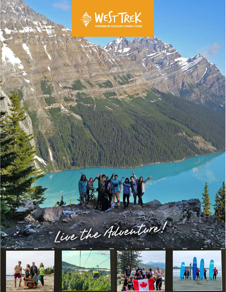









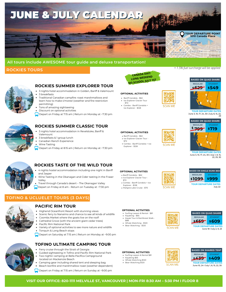## JUNE & JULY CALENDAR



### **All tours include AWESOME tour guide and deluxe transportation!**

### **ROCKIES TOURS**



### **ROCKIES SUMMER EXPLORER TOUR**

- 3 nights hotel accommodation in Golden, Banff & Valemount 3 breakfasts
- Traditional Canadian campfire: roast marshmallows and learn how to make s'mores! (weather and fire-restriction permitting)
- Tons of amazing sightseeing
- Discount on optional activities
- Depart on Friday at 7:15 am | Return on Monday at ~7:30 pm

### **ROCKIES SUMMER CLASSIC TOUR**

- 3 nights hotel accommodation in Revelstoke, Banff & Valemount
- 3 breakfasts & 1 group lunch
- Canadian Ranch Experience
- Wine Tasting
- Depart on Friday at 8:15 am |Return on Monday at ~7:30 pm



### **ROCKIES TASTE OF THE WILD TOUR**

- 4 nights hostel accommodation including one night in Banff and Jasper
- Wine Tasting in the Okanagan and Cider tasting in the Fraser Valley
- Travel through Canada's desert The Okanagan Valley
- Depart on Friday at 8 am Return on Tuesday at ~7:30 pm

### **TOFINO & UCLUELET TOURS (3 DAYS)**



### **PACIFIC RIM TOUR**

- Highend Oceanfront Resort with stunning views
- Scenic ferry to Nanaimo and chance to see all kinds of wildlife
- Coombs Market where the goats live on the roof!
- Cathedral Grove (with the ancient giant cedar trees)
- Pacific Rim National Park
- Variety of optional activities to see more nature and wildlife Tonquin & Long Beach stops
- Depart on Saturday at 7:15 am | Return on Monday at ~9:00 pm



- 
- Guided sightseeing in Tofino and Pacific Rim National Park Two nights' camping at Bella Pacifica Campground
- Camping gear including shared tent and sleeping bag located on Mackenzie Beach
- Beach bonfire and marshmallow roast (weather dependent)
- Depart on Friday at 7:15 am | Return on Sunday at ~9:00 pm



#### **OPTIONAL ACTIVITIES**

- Banff Gondola \$62
- Ice Explorer Glacier Tour - \$72
- Combo Banff Gondola + Ice Explorer - \$128





**BASED ON QUAD SHARE REGULAR** STUDENT

*+ 1.5% fuel surcharge will be applied*

June 3, 10, 17, 24, 30 | July 8, 15, 22, 29 **TOUR DEPARTURE DATES**



June 3, 10, 17, 24, 30 | July 1, 8, 15, 22, 29, 30 **TOUR DEPARTURE DATES**

- Combo Banff Gondola + Ice
- Explorer \$128<br>• Maligne Lake Cruise \$70





July 22 **TOUR DEPARTURE DATES**

### **OPTIONAL ACTIVITIES**

- **Surfing Lesson & Rental \$81**<br>• Kavaking \$65
- Kayaking \$65 Kayak Tour & Rainforest Walk -
- $$88$
- Whale Watching \$120
- Bear Watching \$120





### **OPTIONAL ACTIVITIES**

- Surfing Lesson & Rental \$81
- Kayaking \$65<br>Whale Watching \$120
- Bear Watching \$120





### **VISIT OUR OFFICE: 820-1111 MELVILLE ST, VANCOUVER | MON-FRI 8:30 AM – 5:30 PM I FLOOR 8**

**OPTIONAL ACTIVITIES** Banff Gondola - \$62 • Ice Explorer Glacier Tour -\$72



- - **SCAN MF**

**SCAN ME** 

#### Banff Gondola - \$62 • Ice Explorer Glacier Tour -\$72

### Combo - Banff Gondola + Ice Explorer - \$128

**OPTIONAL ACTIVITIES**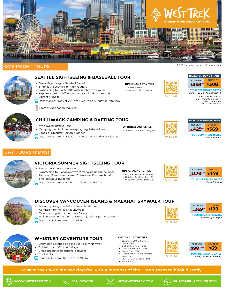

### **OVERNIGHT TOURS**



### **SEATTLE SIGHTSEEING & BASEBALL TOUR**

- See a Major League Baseball Game!
- Shop at the Seattle Premium Outlets
- Sightseeing tour of Seattle with free time to explore Explore Seattle's coffee scene, coastal food culture, and vibrant nightlife

Depart on Saturday at 7:00 am I Return on Sunday at ~9:00 pm

Proof of vaccination required



### **CHILLIWACK CAMPING & RAFTING TOUR**

- Whitewater Rafting Tour
- Camping gear included (sleeping bag & shared tent)
- 3 meals Breakfast, Lunch & Dinner
- $\Box$  Depart on Saturday at 9:00 am I Return on Sunday at ~ 5:00 pm.

### **DAY TOURS (1 DAY)**



### **VICTORIA SUMMER SIGHTSEEING TOUR**

- Deluxe coach transportation
- Sightseeing tour of downtown Victoria including the Inner Harbour, Government street, Chinatown, Empress hotel, and legislative buildings

Depart on Saturday at 7:15 am - Return at ~9:30 pm





oв **SCAN ME** 



**\$269**

Every Saturday

### **DISCOVER VANCOUVER ISLAND & MALAHAT SKYWALK TOUR** Roundtrip Ferry admission aboard BC Ferries Admission to the Malahat SkyWalk

- Cidery tasting at the Merridale Cidery
- Walking tour in the town of Duncan (optional participation)
- Depart at 7:15 am Return at ~8:30 pm



### **WHISTLER ADVENTURE TOUR**

- Enjoy scenic stops along the Sea-to-Sky highway
- Guided tour of Whistler Village
- Great discounts on optional activities
- Guided Hike
- Depart at 8:15 am Return at ~7:30 pm

### **OPTIONAL ACTIVITIES**

**OPTIONAL ACTIVITIES** Royal BC Museum - from \$5 Butchart Gardens - from \$44 Whale Watching - from \$125

**OPTIONAL ACTIVITIES** • Hike to Lindeman Lake (free)

**OPTIONAL ACTIVITIES** Space Needle Museum of Pop Culture

- Squamish-Lil'Wat Cultural
- Centre \$17 ZipTrek Bear Tour - \$135
- ZipTrek Eagle Tour \$165
- Canoe Tour \$126
- Electric Mountain Bike Rental -
- from \$55 PEAK 2 PEAK Gondola - \$82
- $ATV $185$





Every Saturday & Sunday

July 9 I Aug 6 I Sept 3 **TOUR DEPARTURE DATES**

**STUDENT \$199**

**To save the 6% online booking fee, visit a member of the Green Team to book directly!**







*+ 1.5% fuel surcharge will be applied*

**BASED ON QUAD SHARE**

**\$358 REGULAR STUDENT \$308 TOUR DEPARTURE DATES**

June 11 I July 9 I Aug 6 I Sept 10 June - Boston Red Sox

July - Toronto Blue Jays Aug - LA Angels Sep - Atlanta Braves

ΔN **NAF** 

**\$425 TOUR DEPARTURE DATES REGULAR STUDENT \$369**

**BASED ON SHARED TENT**

June 18 I Sept 11